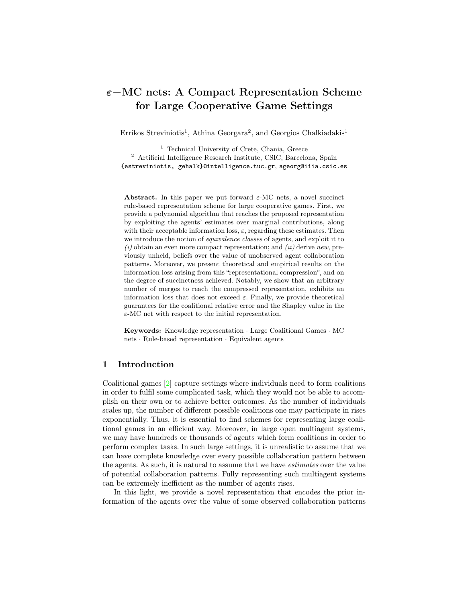# ε−MC nets: A Compact Representation Scheme for Large Cooperative Game Settings

Errikos Streviniotis<sup>1</sup>, Athina Georgara<sup>2</sup>, and Georgios Chalkiadakis<sup>1</sup>

<sup>1</sup> Technical University of Crete, Chania, Greece <sup>2</sup> Artificial Intelligence Research Institute, CSIC, Barcelona, Spain {estreviniotis, gehalk}@intelligence.tuc.gr, ageorg@iiia.csic.es

Abstract. In this paper we put forward  $\varepsilon$ -MC nets, a novel succinct rule-based representation scheme for large cooperative games. First, we provide a polynomial algorithm that reaches the proposed representation by exploiting the agents' estimates over marginal contributions, along with their acceptable information loss,  $\varepsilon$ , regarding these estimates. Then we introduce the notion of equivalence classes of agents, and exploit it to  $(i)$  obtain an even more compact representation; and  $(ii)$  derive new, previously unheld, beliefs over the value of unobserved agent collaboration patterns. Moreover, we present theoretical and empirical results on the information loss arising from this "representational compression", and on the degree of succinctness achieved. Notably, we show that an arbitrary number of merges to reach the compressed representation, exhibits an information loss that does not exceed  $\varepsilon$ . Finally, we provide theoretical guarantees for the coalitional relative error and the Shapley value in the  $\varepsilon$ -MC net with respect to the initial representation.

Keywords: Knowledge representation · Large Coalitional Games · MC nets · Rule-based representation · Equivalent agents

## 1 Introduction

Coalitional games [\[2\]](#page-11-0) capture settings where individuals need to form coalitions in order to fulfil some complicated task, which they would not be able to accomplish on their own or to achieve better outcomes. As the number of individuals scales up, the number of different possible coalitions one may participate in rises exponentially. Thus, it is essential to find schemes for representing large coalitional games in an efficient way. Moreover, in large open multiagent systems, we may have hundreds or thousands of agents which form coalitions in order to perform complex tasks. In such large settings, it is unrealistic to assume that we can have complete knowledge over every possible collaboration pattern between the agents. As such, it is natural to assume that we have estimates over the value of potential collaboration patterns. Fully representing such multiagent systems can be extremely inefficient as the number of agents rises.

In this light, we provide a novel representation that encodes the prior information of the agents over the value of some observed collaboration patterns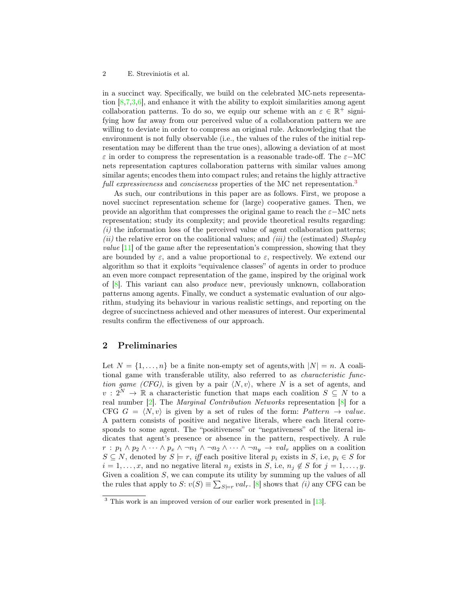in a succinct way. Specifically, we build on the celebrated MC-nets representation  $[8,7,3,6]$  $[8,7,3,6]$  $[8,7,3,6]$  $[8,7,3,6]$ , and enhance it with the ability to exploit similarities among agent collaboration patterns. To do so, we equip our scheme with an  $\varepsilon \in \mathbb{R}^+$  signifying how far away from our perceived value of a collaboration pattern we are willing to deviate in order to compress an original rule. Acknowledging that the environment is not fully observable (i.e., the values of the rules of the initial representation may be different than the true ones), allowing a deviation of at most  $\varepsilon$  in order to compress the representation is a reasonable trade-off. The  $\varepsilon$ -MC nets representation captures collaboration patterns with similar values among similar agents; encodes them into compact rules; and retains the highly attractive full expressiveness and conciseness properties of the MC net representation.<sup>[3](#page-1-0)</sup>

As such, our contributions in this paper are as follows. First, we propose a novel succinct representation scheme for (large) cooperative games. Then, we provide an algorithm that compresses the original game to reach the  $\varepsilon$ −MC nets representation; study its complexity; and provide theoretical results regarding:  $(i)$  the information loss of the perceived value of agent collaboration patterns;  $(ii)$  the relative error on the coalitional values; and  $(iii)$  the (estimated) Shapley value [\[11\]](#page-11-5) of the game after the representation's compression, showing that they are bounded by  $\varepsilon$ , and a value proportional to  $\varepsilon$ , respectively. We extend our algorithm so that it exploits "equivalence classes" of agents in order to produce an even more compact representation of the game, inspired by the original work of [\[8\]](#page-11-1). This variant can also produce new, previously unknown, collaboration patterns among agents. Finally, we conduct a systematic evaluation of our algorithm, studying its behaviour in various realistic settings, and reporting on the degree of succinctness achieved and other measures of interest. Our experimental results confirm the effectiveness of our approach.

## 2 Preliminaries

Let  $N = \{1, \ldots, n\}$  be a finite non-empty set of agents, with  $|N| = n$ . A coalitional game with transferable utility, also referred to as characteristic function game (CFG), is given by a pair  $\langle N, v \rangle$ , where N is a set of agents, and  $v: 2^N \to \mathbb{R}$  a characteristic function that maps each coalition  $S \subseteq N$  to a real number [\[2\]](#page-11-0). The Marginal Contribution Networks representation [\[8\]](#page-11-1) for a CFG  $G = \langle N, v \rangle$  is given by a set of rules of the form: Pattern  $\rightarrow$  value. A pattern consists of positive and negative literals, where each literal corresponds to some agent. The "positiveness" or "negativeness" of the literal indicates that agent's presence or absence in the pattern, respectively. A rule  $r : p_1 \wedge p_2 \wedge \cdots \wedge p_x \wedge \neg n_1 \wedge \neg n_2 \wedge \cdots \wedge \neg n_y \rightarrow val_r$  applies on a coalition  $S \subseteq N$ , denoted by  $S \models r$ , iff each positive literal  $p_i$  exists in S, i.e,  $p_i \in S$  for  $i = 1, \ldots, x$ , and no negative literal  $n_j$  exists in S, i.e,  $n_j \notin S$  for  $j = 1, \ldots, y$ . Given a coalition S, we can compute its utility by summing up the values of all the rules that apply to  $S: v(S) \equiv \sum_{S \models r} val_r$ . [\[8\]](#page-11-1) shows that (i) any CFG can be

<span id="page-1-0"></span><sup>&</sup>lt;sup>3</sup> This work is an improved version of our earlier work presented in [\[13\]](#page-11-6).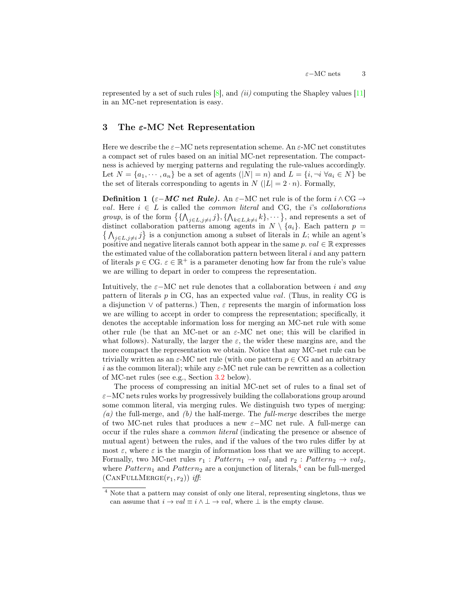represented by a set of such rules  $[8]$ , and  $(ii)$  computing the Shapley values  $[11]$ in an MC-net representation is easy.

# 3 The ε-MC Net Representation

Here we describe the  $\varepsilon-\text{MC}$  nets representation scheme. An  $\varepsilon-\text{MC}$  net constitutes a compact set of rules based on an initial MC-net representation. The compactness is achieved by merging patterns and regulating the rule-values accordingly. Let  $N = \{a_1, \dots, a_n\}$  be a set of agents  $(|N| = n)$  and  $L = \{i, \neg i \; \forall a_i \in N\}$  be the set of literals corresponding to agents in N ( $|L| = 2 \cdot n$ ). Formally,

**Definition 1** ( $\varepsilon-MC$  net Rule). An  $\varepsilon-\text{MC}$  net rule is of the form  $i \wedge \text{CG} \rightarrow$ val. Here  $i \in L$  is called the *common literal* and CG, the *i*'s *collaborations* group, is of the form  $\{\{\bigwedge_{j\in L,j\neq i}j\},\{\bigwedge_{k\in L,k\neq i}k\},\cdots\}$ , and represents a set of distinct collaboration patterns among agents in  $N \setminus \{a_i\}$ . Each pattern  $p =$  $\{\bigwedge_{j\in L,j\neq i}j\}$  is a conjunction among a subset of literals in L; while an agent's positive and negative literals cannot both appear in the same  $p. val \in \mathbb{R}$  expresses the estimated value of the collaboration pattern between literal  $i$  and any pattern of literals  $p \in \text{CG.} \varepsilon \in \mathbb{R}^+$  is a parameter denoting how far from the rule's value we are willing to depart in order to compress the representation.

Intuitively, the  $\varepsilon$ −MC net rule denotes that a collaboration between i and any pattern of literals  $p$  in CG, has an expected value val. (Thus, in reality CG is a disjunction  $\vee$  of patterns.) Then,  $\varepsilon$  represents the margin of information loss we are willing to accept in order to compress the representation; specifically, it denotes the acceptable information loss for merging an MC-net rule with some other rule (be that an MC-net or an  $\varepsilon$ -MC net one; this will be clarified in what follows). Naturally, the larger the  $\varepsilon$ , the wider these margins are, and the more compact the representation we obtain. Notice that any MC-net rule can be trivially written as an  $\varepsilon$ -MC net rule (with one pattern  $p \in \text{CG}$  and an arbitrary i as the common literal); while any  $\varepsilon$ -MC net rule can be rewritten as a collection of MC-net rules (see e.g., Section [3.2](#page-4-0) below).

The process of compressing an initial MC-net set of rules to a final set of ε−MC nets rules works by progressively building the collaborations group around some common literal, via merging rules. We distinguish two types of merging:  $(a)$  the full-merge, and  $(b)$  the half-merge. The *full-merge* describes the merge of two MC-net rules that produces a new  $\varepsilon-\text{MC}$  net rule. A full-merge can occur if the rules share a common literal (indicating the presence or absence of mutual agent) between the rules, and if the values of the two rules differ by at most  $\varepsilon$ , where  $\varepsilon$  is the margin of information loss that we are willing to accept. Formally, two MC-net rules  $r_1 : Pattern_1 \rightarrow val_1$  and  $r_2 : Pattern_2 \rightarrow val_2$ , where  $Pattern_1$  and  $Pattern_2$  are a conjunction of literals,<sup>[4](#page-2-0)</sup> can be full-merged  $(CANFULLMERGE(r_1, r_2))$  iff:

<span id="page-2-0"></span><sup>4</sup> Note that a pattern may consist of only one literal, representing singletons, thus we can assume that  $i \to val \equiv i \land \bot \to val$ , where  $\bot$  is the empty clause.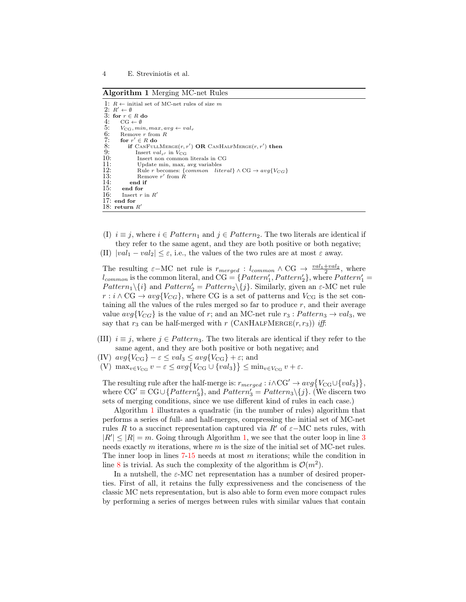<span id="page-3-0"></span>Algorithm 1 Merging MC-net Rules

```
1: R \leftarrow initial set of MC-net rules of size m2: R' \leftarrow \emptyset3: for r \in R do<br>4: CG \leftarrow \emptyset4: CG \leftarrow \emptyset<br>5: V_{CG}, mi5: V_{CG}, min, max, avg \leftarrow val_r<br>6: Remove r from R<br>7: for r' \in R do
         Remove r from R7: for r' \in R do
 8: if CANFULLMERGE(r, r') OR CANHALFMERGE(r, r') then
9: Insert val_{r'} in \hat{V}_{CG}<br>10: Insert non common
10: Insert non common literals in CG<br>11: Update min. max. avg variables
11: Update min, max, avg variables<br>12: Rule r becomes: {formon\quad}12: Rule r becomes: {common literal} ∧ CG \rightarrow avg\{V_{CG}\}<br>13: Remove r' from R
13: Remove r' from \tilde{R}14: end if<br>15: end for
15: end for<br>16: Insert rInsert r in R′
17: end for
18: return R'
```
- <span id="page-3-3"></span>(I)  $i \equiv j$ , where  $i \in Pattern_1$  and  $j \in Pattern_2$ . The two literals are identical if they refer to the same agent, and they are both positive or both negative;
- <span id="page-3-5"></span>(II)  $|val_1 - val_2| \leq \varepsilon$ , i.e., the values of the two rules are at most  $\varepsilon$  away.

The resulting  $\varepsilon-\text{MC}$  net rule is  $r_{merged}$ :  $l_{common} \wedge \text{CG} \rightarrow \frac{val_1+val_2}{2}$ , where  $l_{common}$  is the common literal, and  $CG = \{Pattern'_1, Pattern'_2\},$  where  $Pattern'_1 =$  $Pattern_1 \setminus \{i\}$  and  $Pattern_2' = Pattern_2 \setminus \{j\}$ . Similarly, given an  $\varepsilon$ -MC net rule  $r : i \wedge \text{CG} \rightarrow avg\{V_{CG}\},$  where CG is a set of patterns and  $V_{CG}$  is the set containing all the values of the rules merged so far to produce  $r$ , and their average value  $avg\{V_{CG}\}\$ is the value of r; and an MC-net rule  $r_3 : Pattern_3 \rightarrow val_3$ , we say that  $r_3$  can be half-merged with r (CANHALFMERGE $(r, r_3)$ ) iff:

- (III)  $i \equiv j$ , where  $j \in Pattern_3$ . The two literals are identical if they refer to the same agent, and they are both positive or both negative; and
- (IV)  $avg\{V_{CG}\} \varepsilon \leq val_3 \leq avg\{V_{CG}\} + \varepsilon$ ; and
- (V)  $\max_{v \in V_{CG}} v \varepsilon \leq avg\{V_{CG} \cup \{val_3\}\} \leq \min_{v \in V_{CG}} v + \varepsilon.$

The resulting rule after the half-merge is:  $r_{merged}: i \wedge CG' \rightarrow avg\{V_{CG} \cup \{val_3\}\},$ where  $CG' \equiv CG \cup \{Pattern'_3\}$ , and  $Pattern'_3 = Pattern_3 \setminus \{j\}$ . (We discern two sets of merging conditions, since we use different kind of rules in each case.)

Algorithm [1](#page-3-0) illustrates a quadratic (in the number of rules) algorithm that performs a series of full- and half-merges, compressing the initial set of MC-net rules R to a succinct representation captured via R' of  $\varepsilon$ −MC nets rules, with  $|R'| \leq |R| = m$ . Going through Algorithm [1,](#page-3-0) we see that the outer loop in line [3](#page-3-1) needs exactly  $m$  iterations, where  $m$  is the size of the initial set of MC-net rules. The inner loop in lines  $7-15$  $7-15$  needs at most m iterations; while the condition in line [8](#page-3-4) is trivial. As such the complexity of the algorithm is  $\mathcal{O}(m^2)$ .

In a nutshell, the  $\varepsilon$ -MC net representation has a number of desired properties. First of all, it retains the fully expressiveness and the conciseness of the classic MC nets representation, but is also able to form even more compact rules by performing a series of merges between rules with similar values that contain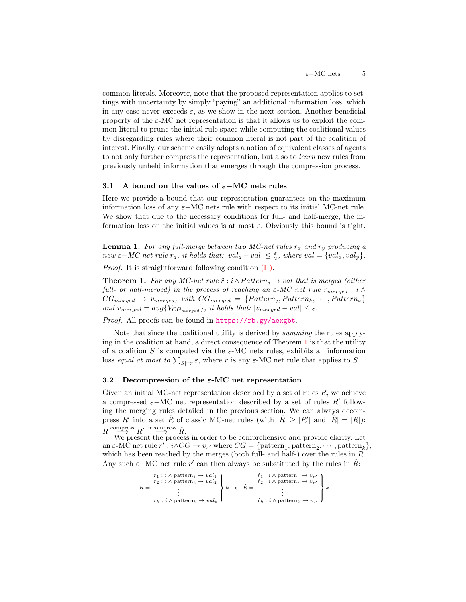common literals. Moreover, note that the proposed representation applies to settings with uncertainty by simply "paying" an additional information loss, which in any case never exceeds  $\varepsilon$ , as we show in the next section. Another beneficial property of the  $\varepsilon$ -MC net representation is that it allows us to exploit the common literal to prune the initial rule space while computing the coalitional values by disregarding rules where their common literal is not part of the coalition of interest. Finally, our scheme easily adopts a notion of equivalent classes of agents to not only further compress the representation, but also to learn new rules from previously unheld information that emerges through the compression process.

#### 3.1 A bound on the values of  $\varepsilon-\text{MC}$  nets rules

Here we provide a bound that our representation guarantees on the maximum information loss of any  $\varepsilon$ −MC nets rule with respect to its initial MC-net rule. We show that due to the necessary conditions for full- and half-merge, the information loss on the initial values is at most  $\varepsilon$ . Obviously this bound is tight.

**Lemma 1.** For any full-merge between two MC-net rules  $r_x$  and  $r_y$  producing a new  $\varepsilon-MC$  net rule  $r_z$ , it holds that:  $|val_z - val| \leq \frac{\varepsilon}{2}$ , where  $val = \{val_x, val_y\}$ .

Proof. It is straightforward following condition [\(II\).](#page-3-5)

<span id="page-4-1"></span>**Theorem 1.** For any MC-net rule  $\tilde{r}$  : i  $\wedge$  Pattern<sub>i</sub>  $\rightarrow$  val that is merged (either full- or half-merged) in the process of reaching an  $\varepsilon$ -MC net rule  $r_{merged} : i \wedge j$  $CG_{merged} \rightarrow v_{merged}, with CG_{merged} = \{Pattern_j, Pattern_k, \cdots, Pattern_x\}$ and  $v_{merged} = avg\{V_{CG_{merged}}\}$ , it holds that:  $|v_{merged} - val| \leq \varepsilon$ .

Proof. All proofs can be found in <https://rb.gy/aexgbt>.

Note that since the coalitional utility is derived by summing the rules applying in the coalition at hand, a direct consequence of Theorem [1](#page-4-1) is that the utility of a coalition S is computed via the  $\varepsilon$ -MC nets rules, exhibits an information loss equal at most to  $\sum_{S\models r} \varepsilon$ , where r is any  $\varepsilon$ -MC net rule that applies to S.

## <span id="page-4-0"></span>3.2 Decompression of the  $\varepsilon$ -MC net representation

Given an initial MC-net representation described by a set of rules  $R$ , we achieve a compressed  $\varepsilon-\text{MC}$  net representation described by a set of rules R' following the merging rules detailed in the previous section. We can always decompress R' into a set  $\hat{R}$  of classic MC-net rules (with  $|\hat{R}| \geq |R'|$  and  $|\hat{R}| = |R|$ ):  $R \xrightarrow{\text{compress}} R' \xrightarrow{\text{decompress}} \hat{R}.$ 

We present the process in order to be comprehensive and provide clarity. Let an  $\varepsilon$ -MC net rule  $r' : i \wedge CG \to v_{r'}$  where  $CG = {\text{pattern}_1, \text{pattern}_2, \cdots, \text{pattern}_k},$ which has been reached by the merges (both full- and half-) over the rules in  $R$ . Any such  $\varepsilon-\text{MC}$  net rule r' can then always be substituted by the rules in  $\hat{R}$ :

$$
\label{eq:R} \begin{array}{ll} & r_1: i \wedge {\rm pattern}_1 \rightarrow val_1 \\ & r_2: i \wedge {\rm pattern}_2 \rightarrow val_2 \\ & \cdot \\ & \cdot \\ & r_k: i \wedge {\rm pattern}_k \rightarrow val_k \end{array} \left\{ \begin{array}{ll} & \hat{r}_1: i \wedge {\rm pattern}_1 \rightarrow v_{r'} \\ & \hat{r}_2: i \wedge {\rm pattern}_2 \rightarrow v_{r'} \\ & \hat{r}_2: i \wedge {\rm pattern}_2 \rightarrow v_{r'} \\ & \cdot \\ & \cdot \\ & \hat{r}_k: i \wedge {\rm pattern}_k \rightarrow v_{r'} \end{array} \right\} k
$$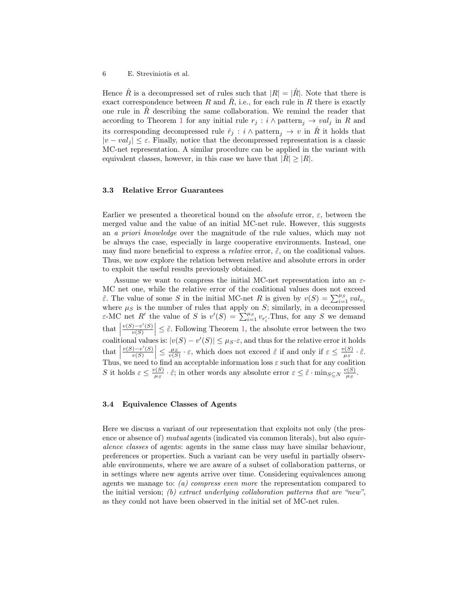Hence  $\hat{R}$  is a decompressed set of rules such that  $|R| = |\hat{R}|$ . Note that there is exact correspondence between R and R, i.e., for each rule in R there is exactly one rule in  $\tilde{R}$  describing the same collaboration. We remind the reader that according to Theorem [1](#page-4-1) for any initial rule  $r_j : i \wedge$  pattern<sub>j</sub>  $\rightarrow$  val<sub>j</sub> in R and its corresponding decompressed rule  $\hat{r}_j : i \wedge \text{pattern}_j \rightarrow v$  in  $\hat{R}$  it holds that  $|v - val_i| \leq \varepsilon$ . Finally, notice that the decompressed representation is a classic MC-net representation. A similar procedure can be applied in the variant with equivalent classes, however, in this case we have that  $|R| \geq |R|$ .

#### 3.3 Relative Error Guarantees

Earlier we presented a theoretical bound on the *absolute* error,  $\varepsilon$ , between the merged value and the value of an initial MC-net rule. However, this suggests an a priori knowledge over the magnitude of the rule values, which may not be always the case, especially in large cooperative environments. Instead, one may find more beneficial to express a *relative* error,  $\tilde{\varepsilon}$ , on the coalitional values. Thus, we now explore the relation between relative and absolute errors in order to exploit the useful results previously obtained.

Assume we want to compress the initial MC-net representation into an  $\varepsilon$ -MC net one, while the relative error of the coalitional values does not exceed  $\tilde{\varepsilon}$ . The value of some S in the initial MC-net R is given by  $v(S) = \sum_{i=1}^{\mu_S} val_{r_i}$ where  $\mu_S$  is the number of rules that apply on S; similarly, in a decompressed  $\varepsilon$ -MC net R' the value of S is  $v'(S) = \sum_{i=1}^{\mu_S} v_{r'_i}$ . Thus, for any S we demand that  $\frac{v(S)-v'(S)}{v(S)}$ coalitional values is:  $|v(S) - v'(S)| \leq \mu_S \cdot \varepsilon$ , and thus for the relative error it holds  $\left|\frac{\partial v(S)}{\partial S}\right| \leq \tilde{\varepsilon}$ . Following Theorem [1,](#page-4-1) the absolute error between the two  $\frac{\text{that}}{\text{m}}$  $v(S)-v'(S)$  $\left|\frac{\partial v(S)}{\partial v(S)}\right| \leq \frac{\mu_S}{v(S)} \cdot \varepsilon$ , which does not exceed  $\tilde{\varepsilon}$  if and only if  $\varepsilon \leq \frac{v(S)}{\mu_S}$  $\frac{\partial^{\prime}(S)}{\partial \mu_{S}}\cdot\tilde{\varepsilon}.$ Thus, we need to find an acceptable information loss  $\varepsilon$  such that for any coalition S it holds  $\varepsilon \leq \frac{v(S)}{n_S}$  $\frac{v(S)}{\mu_S} \cdot \tilde{\varepsilon}$ ; in other words any absolute error  $\varepsilon \leq \tilde{\varepsilon} \cdot \min_{S \subseteq N} \frac{v(S)}{\mu_S}$  $\frac{\eta(S)}{\mu_S}$ .

#### 3.4 Equivalence Classes of Agents

Here we discuss a variant of our representation that exploits not only (the presence or absence of) mutual agents (indicated via common literals), but also *equiv*alence classes of agents: agents in the same class may have similar behaviour, preferences or properties. Such a variant can be very useful in partially observable environments, where we are aware of a subset of collaboration patterns, or in settings where new agents arrive over time. Considering equivalences among agents we manage to: (a) compress even more the representation compared to the initial version; (b) extract underlying collaboration patterns that are "new", as they could not have been observed in the initial set of MC-net rules.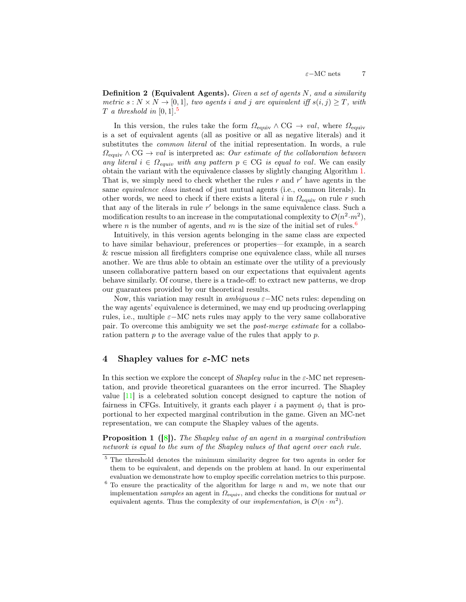**Definition 2** (Equivalent Agents). Given a set of agents  $N$ , and a similarity metric  $s: N \times N \rightarrow [0, 1]$ , two agents i and j are equivalent iff  $s(i, j) \geq T$ , with  $T$  a threshold in [0, 1].<sup>[5](#page-6-0)</sup>

In this version, the rules take the form  $\Omega_{\text{equiv}} \wedge \text{CG} \rightarrow val$ , where  $\Omega_{\text{equiv}}$ is a set of equivalent agents (all as positive or all as negative literals) and it substitutes the common literal of the initial representation. In words, a rule  $\Omega_{\text{equiv}} \wedge \text{CG} \rightarrow \text{val}$  is interpreted as: Our estimate of the collaboration between any literal  $i \in \Omega_{equiv}$  with any pattern  $p \in \text{CG}$  is equal to val. We can easily obtain the variant with the equivalence classes by slightly changing Algorithm [1.](#page-3-0) That is, we simply need to check whether the rules  $r$  and  $r'$  have agents in the same equivalence class instead of just mutual agents (i.e., common literals). In other words, we need to check if there exists a literal i in  $\Omega_{\text{equiv}}$  on rule r such that any of the literals in rule r ′ belongs in the same equivalence class. Such a modification results to an increase in the computational complexity to  $\mathcal{O}(n^2 \cdot m^2)$ , where n is the number of agents, and m is the size of the initial set of rules.<sup>[6](#page-6-1)</sup>

Intuitively, in this version agents belonging in the same class are expected to have similar behaviour, preferences or properties—for example, in a search & rescue mission all firefighters comprise one equivalence class, while all nurses another. We are thus able to obtain an estimate over the utility of a previously unseen collaborative pattern based on our expectations that equivalent agents behave similarly. Of course, there is a trade-off: to extract new patterns, we drop our guarantees provided by our theoretical results.

Now, this variation may result in *ambiguous*  $\varepsilon-\mathrm{MC}$  nets rules: depending on the way agents' equivalence is determined, we may end up producing overlapping rules, i.e., multiple  $\varepsilon$ −MC nets rules may apply to the very same collaborative pair. To overcome this ambiguity we set the post-merge estimate for a collaboration pattern  $p$  to the average value of the rules that apply to  $p$ .

# 4 Shapley values for  $\varepsilon$ -MC nets

In this section we explore the concept of *Shapley value* in the  $\varepsilon$ -MC net representation, and provide theoretical guarantees on the error incurred. The Shapley value [\[11\]](#page-11-5) is a celebrated solution concept designed to capture the notion of fairness in CFGs. Intuitively, it grants each player i a payment  $\phi_i$  that is proportional to her expected marginal contribution in the game. Given an MC-net representation, we can compute the Shapley values of the agents.

<span id="page-6-2"></span>**Proposition 1** ([\[8\]](#page-11-1)). The Shapley value of an agent in a marginal contribution network is equal to the sum of the Shapley values of that agent over each rule.

<span id="page-6-0"></span><sup>5</sup> The threshold denotes the minimum similarity degree for two agents in order for them to be equivalent, and depends on the problem at hand. In our experimental evaluation we demonstrate how to employ specific correlation metrics to this purpose.

<span id="page-6-1"></span> $6$  To ensure the practicality of the algorithm for large n and m, we note that our implementation samples an agent in  $\Omega_{\text{equiv}}$ , and checks the conditions for mutual or equivalent agents. Thus the complexity of our *implementation*, is  $\mathcal{O}(n \cdot m^2)$ .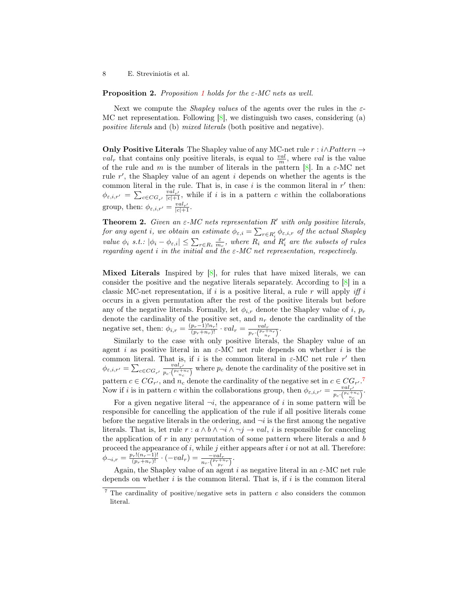**Proposition 2.** Proposition [1](#page-6-2) holds for the  $\varepsilon$ -MC nets as well.

Next we compute the *Shapley values* of the agents over the rules in the  $\varepsilon$ -MC net representation. Following  $[8]$ , we distinguish two cases, considering (a) positive literals and (b) mixed literals (both positive and negative).

Only Positive Literals The Shapley value of any MC-net rule  $r : i \wedge Pattern \rightarrow$  $val_r$  that contains only positive literals, is equal to  $\frac{val}{m}$ , where val is the value of the rule and m is the number of literals in the pattern  $[8]$ . In a  $\varepsilon$ -MC net rule  $r'$ , the Shapley value of an agent i depends on whether the agents is the common literal in the rule. That is, in case  $i$  is the common literal in  $r'$  then:  $\phi_{\varepsilon,i,r'} = \sum_{c \in CG_{r'}} \frac{val_{r'}}{|c|+1}$ , while if i is in a pattern c within the collaborations group, then:  $\phi_{\varepsilon,i,r'} = \frac{val_{r'}}{|c|+1}$ .

**Theorem 2.** Given an  $\varepsilon$ -MC nets representation R' with only positive literals, for any agent i, we obtain an estimate  $\phi_{\varepsilon,i} = \sum_{r \in R'_i} \phi_{\varepsilon,i,r}$  of the actual Shapley value  $\phi_i$  s.t.:  $|\phi_i - \phi_{\varepsilon,i}| \leq \sum_{r \in R_i} \frac{\varepsilon}{m_r}$ , where  $R_i$  and  $R'_i$  are the subsets of rules regarding agent i in the initial and the  $\varepsilon$ -MC net representation, respectively.

**Mixed Literals** Inspired by  $[8]$ , for rules that have mixed literals, we can consider the positive and the negative literals separately. According to  $[8]$  in a classic MC-net representation, if i is a positive literal, a rule r will apply iff i occurs in a given permutation after the rest of the positive literals but before any of the negative literals. Formally, let  $\phi_{i,r}$  denote the Shapley value of i,  $p_r$ denote the cardinality of the positive set, and  $n_r$  denote the cardinality of the negative set, then:  $\phi_{i,r} = \frac{(p_r-1)!n_r!}{(p_r+n_r)!} \cdot val_r = \frac{val_r}{p_r \cdot {p_r+n_r \choose n_r}}.$ 

Similarly to the case with only positive literals, the Shapley value of an agent i as positive literal in an  $\varepsilon$ -MC net rule depends on whether i is the common literal. That is, if i is the common literal in  $\varepsilon$ -MC net rule r' then  $\phi_{\varepsilon,i,r'} = \sum_{c \in CG_{r'}} \frac{val_{r'}}{p_c \cdot {p_c + r \choose r}}$  $\frac{val_{r'}}{p_c \cdot (P_c + n_c)}$  where  $p_c$  denote the cardinality of the positive set in pattern  $c \in CG_{r'}$ , and  $n_c$  denote the cardinality of the negative set in  $c \in CG_{r'}$ .<sup>[7](#page-7-0)</sup> Now if i is in pattern c within the collaborations group, then  $\phi_{\varepsilon,i,r'} = \frac{val_{r'}}{s-(R_{c}+1)}$  $\frac{val_{r'}}{p_c\cdot \binom{p_c+n_c}{n_c}}$ .

For a given negative literal  $\neg i$ , the appearance of i in some pattern will be responsible for cancelling the application of the rule if all positive literals come before the negative literals in the ordering, and  $\neg i$  is the first among the negative literals. That is, let rule  $r : a \wedge b \wedge \neg i \wedge \neg j \rightarrow val$ , *i* is responsible for canceling the application of  $r$  in any permutation of some pattern where literals  $a$  and  $b$ proceed the appearance of  $i$ , while  $j$  either appears after  $i$  or not at all. Therefore:  $\phi_{\neg i,r} = \frac{p_r!(n_r-1)!}{(p_r+n_r)!} \cdot (-val_r) = \frac{-val_r}{n_r \cdot \binom{p_r+n_r}{p_r}}.$ 

Again, the Shapley value of an agent i as negative literal in an  $\varepsilon$ -MC net rule depends on whether  $i$  is the common literal. That is, if  $i$  is the common literal

<span id="page-7-0"></span> $7$  The cardinality of positive/negative sets in pattern c also considers the common literal.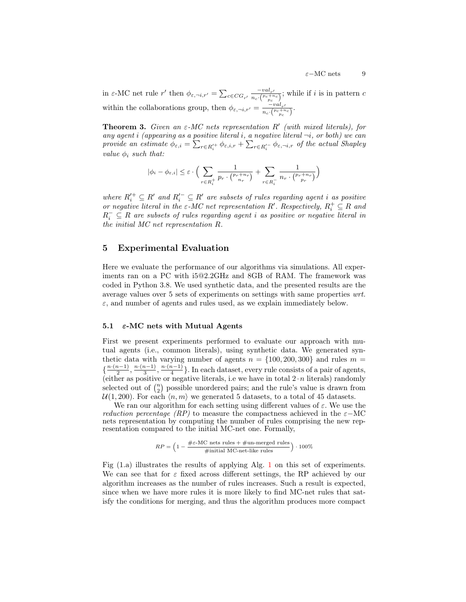in  $\varepsilon$ -MC net rule r' then  $\phi_{\varepsilon,\neg i,r'} = \sum_{c \in CG_{r'}} \frac{-val_{r'}}{n_c \cdot {p_c + n}}$  $\frac{-\text{val}_{r'}}{n_c \cdot (n_c+n_c)}$ ; while if *i* is in pattern *c* within the collaborations group, then  $\phi_{\varepsilon,\neg i,r'} = \frac{-val_{r'}}{n\sqrt{p_c+n}}$  $\frac{-\overline{val}_{r'}}{n_c \cdot \left(\frac{p_c+n_c}{p_c}\right)}$ .

**Theorem 3.** Given an  $\varepsilon$ -MC nets representation  $R'$  (with mixed literals), for any agent i (appearing as a positive literal i, a negative literal  $\neg i$ , or both) we can provide an estimate  $\phi_{\varepsilon,i} = \sum_{r \in R_i'} \phi_{\varepsilon,i,r} + \sum_{r \in R_i'} \phi_{\varepsilon,\neg i,r}$  of the actual Shapley value  $\phi_i$  such that:

$$
|\phi_i - \phi_{\varepsilon,i}| \leq \varepsilon \cdot \Big( \sum_{r \in R_i^+} \frac{1}{p_r \cdot {p_r + n_r \choose n_r}} + \sum_{r \in R_i^-} \frac{1}{n_r \cdot {p_r + n_r \choose p_r}} \Big)
$$

where  $R_i'^{+} \subseteq R'$  and  $R_i'^{-} \subseteq R'$  are subsets of rules regarding agent i as positive or negative literal in the  $\varepsilon$ -MC net representation R'. Respectively,  $R_i^+ \subseteq R$  and  $R_i^-\subseteq R$  are subsets of rules regarding agent i as positive or negative literal in the initial MC net representation R.

## 5 Experimental Evaluation

Here we evaluate the performance of our algorithms via simulations. All experiments ran on a PC with i5@2.2GHz and 8GB of RAM. The framework was coded in Python 3.8. We used synthetic data, and the presented results are the average values over 5 sets of experiments on settings with same properties wrt.  $\varepsilon$ , and number of agents and rules used, as we explain immediately below.

### 5.1  $\varepsilon$ -MC nets with Mutual Agents

First we present experiments performed to evaluate our approach with mutual agents (i.e., common literals), using synthetic data. We generated synthetic data with varying number of agents  $n = \{100, 200, 300\}$  and rules  $m =$  $\{\frac{n\cdot(n-1)}{2}$  $\frac{n-1}{2}, \frac{n \cdot (n-1)}{3}$  $\frac{n-1}{3}, \frac{n \cdot (n-1)}{4}$  $\frac{n-1}{4}$ . In each dataset, every rule consists of a pair of agents, (either as positive or negative literals, i.e we have in total  $2 \cdot n$  literals) randomly selected out of  $\binom{n}{2}$  possible unordered pairs; and the rule's value is drawn from  $U(1, 200)$ . For each  $\langle n, m \rangle$  we generated 5 datasets, to a total of 45 datasets.

We ran our algorithm for each setting using different values of  $\varepsilon$ . We use the *reduction percentage (RP)* to measure the compactness achieved in the  $\varepsilon$ -MC nets representation by computing the number of rules comprising the new representation compared to the initial MC-net one. Formally,

$$
RP = \Big(1 - \frac{\# \varepsilon\text{-MC nets rules} + \# \text{un-merged rules}}{\# \text{initial MC-net-like rules}}\Big) \cdot 100\%
$$

Fig (1.a) illustrates the results of applying Alg. [1](#page-3-0) on this set of experiments. We can see that for  $\varepsilon$  fixed across different settings, the RP achieved by our algorithm increases as the number of rules increases. Such a result is expected, since when we have more rules it is more likely to find MC-net rules that satisfy the conditions for merging, and thus the algorithm produces more compact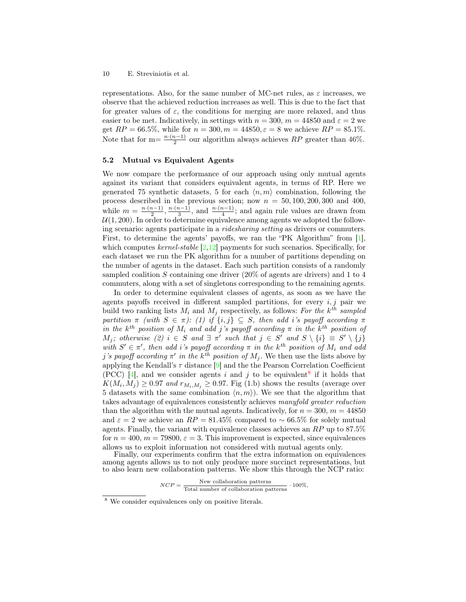representations. Also, for the same number of MC-net rules, as  $\varepsilon$  increases, we observe that the achieved reduction increases as well. This is due to the fact that for greater values of  $\varepsilon$ , the conditions for merging are more relaxed, and thus easier to be met. Indicatively, in settings with  $n = 300$ ,  $m = 44850$  and  $\varepsilon = 2$  we get  $RP = 66.5\%$ , while for  $n = 300, m = 44850, \epsilon = 8$  we achieve  $RP = 85.1\%$ . Note that for m=  $\frac{n \cdot (n-1)}{2}$  $\frac{n-1}{2}$  our algorithm always achieves RP greater than 46%.

#### 5.2 Mutual vs Equivalent Agents

We now compare the performance of our approach using only mutual agents against its variant that considers equivalent agents, in terms of RP. Here we generated 75 synthetic datasets, 5 for each  $\langle n,m \rangle$  combination, following the process described in the previous section; now  $n = 50, 100, 200, 300$  and 400, while  $m = \frac{n \cdot (n-1)}{2}$  $\frac{n-1}{2}, \frac{n \cdot (n-1)}{3}$  $\frac{n-1}{3}$ , and  $\frac{n \cdot (n-1)}{4}$ ; and again rule values are drawn from  $U(1, 200)$ . In order to determine equivalence among agents we adopted the following scenario: agents participate in a ridesharing setting as drivers or commuters. First, to determine the agents' payoffs, we ran the "PK Algorithm" from [\[1\]](#page-11-7), which computes kernel-stable  $[2,12]$  $[2,12]$  payments for such scenarios. Specifically, for each dataset we run the PK algorithm for a number of partitions depending on the number of agents in the dataset. Each such partition consists of a randomly sampled coalition  $S$  containing one driver  $(20\%$  of agents are drivers) and 1 to 4 commuters, along with a set of singletons corresponding to the remaining agents.

In order to determine equivalent classes of agents, as soon as we have the agents payoffs received in different sampled partitions, for every  $i, j$  pair we build two ranking lists  $M_i$  and  $M_j$  respectively, as follows: For the  $k^{th}$  sampled partition  $\pi$  (with  $S \in \pi$ ): (1) if  $\{i, j\} \subseteq S$ , then add i's payoff according  $\pi$ in the  $k^{th}$  position of  $M_i$  and add j's payoff according  $\pi$  in the  $k^{th}$  position of  $M_j$ ; otherwise (2)  $i \in S$  and  $\exists \pi'$  such that  $j \in S'$  and  $S \setminus \{i\} \equiv S' \setminus \{j\}$ with  $S' \in \pi'$ , then add i's payoff according  $\pi$  in the k<sup>th</sup> position of  $M_i$  and add j's payoff according  $\pi'$  in the k<sup>th</sup> position of  $M_j$ . We then use the lists above by applying the Kendall's  $\tau$  distance [\[9\]](#page-11-9) and the the Pearson Correlation Coefficient (PCC) [\[4\]](#page-11-10), and we consider agents i and j to be equivalent<sup>[8](#page-9-0)</sup> if it holds that  $K(M_i, M_j) \geq 0.97$  and  $r_{M_i, M_j} \geq 0.97$ . Fig (1.b) shows the results (average over 5 datasets with the same combination  $\langle n, m \rangle$ ). We see that the algorithm that takes advantage of equivalences consistently achieves manyfold greater reduction than the algorithm with the mutual agents. Indicatively, for  $n = 300, m = 44850$ and  $\varepsilon = 2$  we achieve an  $RP = 81.45\%$  compared to ~66.5% for solely mutual agents. Finally, the variant with equivalence classes achieves an  $RP$  up to  $87.5\%$ for  $n = 400$ ,  $m = 79800$ ,  $\varepsilon = 3$ . This improvement is expected, since equivalences allows us to exploit information not considered with mutual agents only.

Finally, our experiments confirm that the extra information on equivalences among agents allows us to not only produce more succinct representations, but to also learn new collaboration patterns. We show this through the NCP ratio:

 $NCP = \frac{New~collaboration~patterns}{T}$ Total number of collaboration patterns  $.100\%$ ,

<span id="page-9-0"></span><sup>8</sup> We consider equivalences only on positive literals.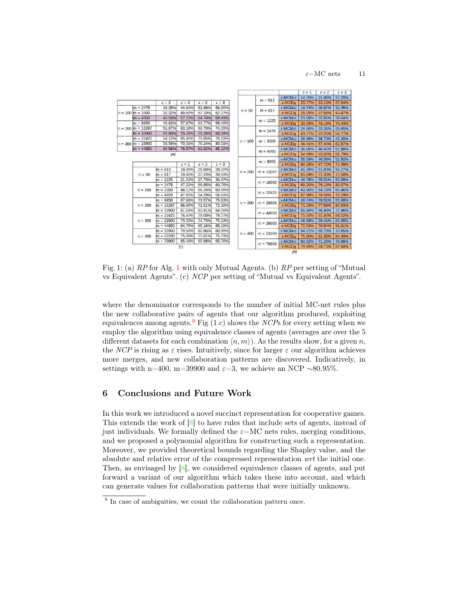$\varepsilon$ −MC nets 11



Fig. 1: (a) RP for Alg. [1](#page-3-0) with only Mutual Agents. (b) RP per setting of "Mutual vs Equivalent Agents". (c) NCP per setting of "Mutual vs Equivalent Agents".

where the denominator corresponds to the number of initial MC-net rules plus the new collaborative pairs of agents that our algorithm produced, exploiting equivalences among agents.<sup>[9](#page-10-0)</sup> Fig (1.c) shows the NCPs for every setting when we employ the algorithm using equivalence classes of agents (averages are over the 5 different datasets for each combination  $\langle n,m \rangle$ . As the results show, for a given n, the NCP is rising as  $\varepsilon$  rises. Intuitively, since for larger  $\varepsilon$  our algorithm achieves more merges, and new collaboration patterns are discovered. Indicatively, in settings with n=400, m=39900 and  $\varepsilon$ =3, we achieve an NCP ∼80.95%.

# 6 Conclusions and Future Work

In this work we introduced a novel succinct representation for cooperative games. This extends the work of [\[8\]](#page-11-1) to have rules that include sets of agents, instead of just individuals. We formally defined the  $\varepsilon-\text{MC}$  nets rules, merging conditions, and we proposed a polynomial algorithm for constructing such a representation. Moreover, we provided theoretical bounds regarding the Shapley value, and the absolute and relative error of the compressed representation wrt the initial one. Then, as envisaged by  $[8]$ , we considered equivalence classes of agents, and put forward a variant of our algorithm which takes these into account, and which can generate values for collaboration patterns that were initially unknown.

<span id="page-10-0"></span><sup>&</sup>lt;sup>9</sup> In case of ambiguities, we count the collaboration pattern once.